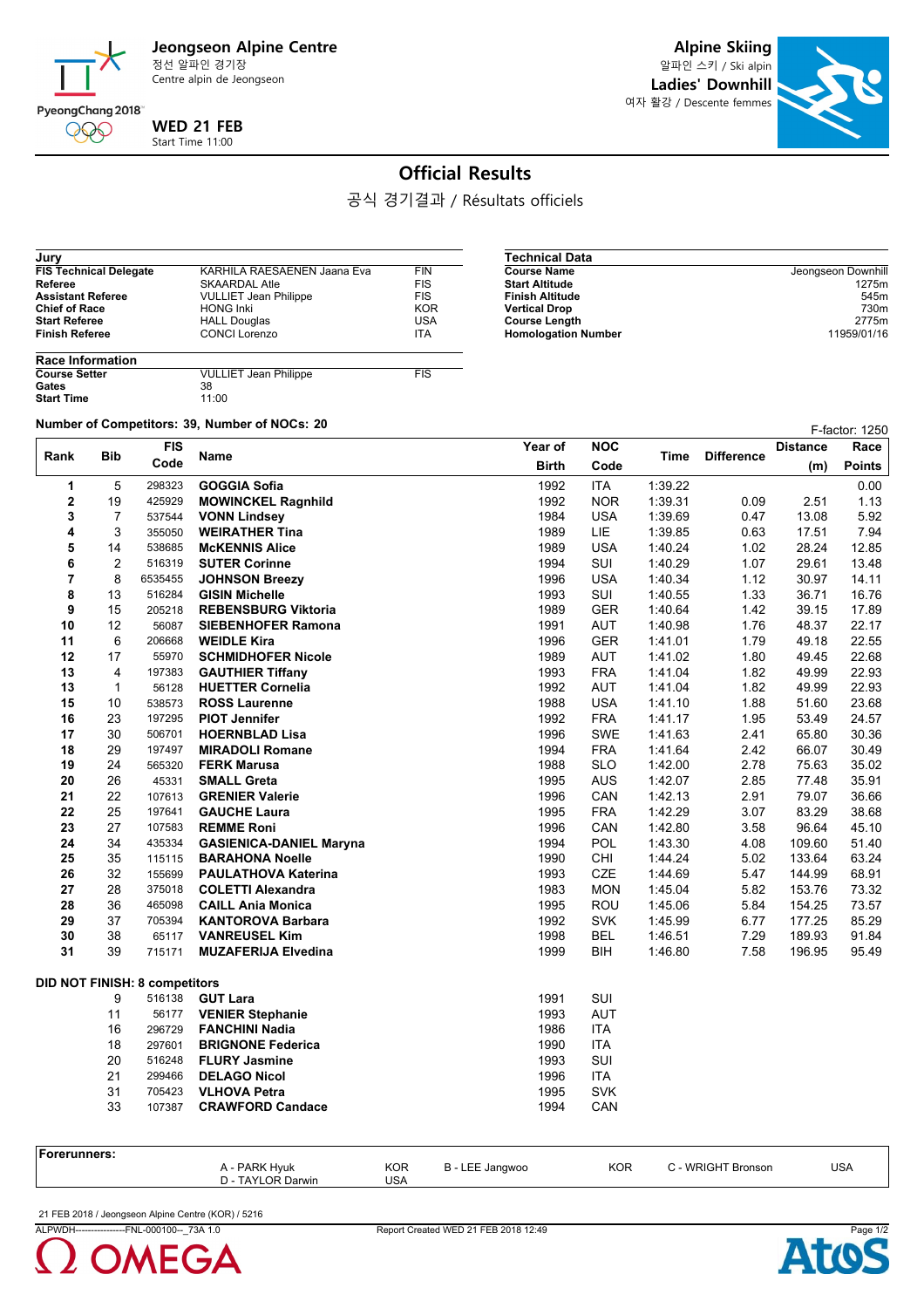

Centre alpin de Jeongseon

**Alpine Skiing**

알파인 스키 / Ski alpin **Ladies' Downhill** 여자 활강 / Descente femmes



## **Official Results**

공식 경기결과 / Résultats officiels

| Jury                          |                              |            |
|-------------------------------|------------------------------|------------|
| <b>FIS Technical Delegate</b> | KARHILA RAESAENEN Jaana Eva  | <b>FIN</b> |
| Referee                       | <b>SKAARDAL Atle</b>         | <b>FIS</b> |
| <b>Assistant Referee</b>      | <b>VULLIET Jean Philippe</b> | <b>FIS</b> |
| <b>Chief of Race</b>          | <b>HONG Inki</b>             | <b>KOR</b> |
| <b>Start Referee</b>          | <b>HALL Douglas</b>          | <b>USA</b> |
| <b>Finish Referee</b>         | <b>CONCI Lorenzo</b>         | <b>ITA</b> |
| <b>Race Information</b>       |                              |            |

| Technical Data             |                    |
|----------------------------|--------------------|
| Course Name                | Jeongseon Downhill |
| Start Altitude             | 1275m              |
| Finish Altitude            | 545 <sub>m</sub>   |
| Vertical Drop              | 730m               |
| Course Length              | 2775m              |
| <b>Homologation Number</b> | 11959/01/16        |

| <b>Race Information</b> |                              |            |
|-------------------------|------------------------------|------------|
| <b>Course Setter</b>    | <b>VULLIET Jean Philippe</b> | <b>FIS</b> |
| Gates                   | 38                           |            |
| <b>Start Time</b>       | 11:00                        |            |

**Number of Competitors: 39, Number of NOCs: <sup>20</sup>** F-factor: 1250

| Rank           | Bib            | <b>FIS</b>                           | Name                           | Year of      | <b>NOC</b> | Time    | <b>Difference</b> | <b>Distance</b> | Race          |
|----------------|----------------|--------------------------------------|--------------------------------|--------------|------------|---------|-------------------|-----------------|---------------|
|                |                | Code                                 |                                | <b>Birth</b> | Code       |         |                   | (m)             | <b>Points</b> |
| 1              | 5              | 298323                               | <b>GOGGIA Sofia</b>            | 1992         | <b>ITA</b> | 1:39.22 |                   |                 | 0.00          |
| $\mathbf 2$    | 19             | 425929                               | <b>MOWINCKEL Ragnhild</b>      | 1992         | <b>NOR</b> | 1:39.31 | 0.09              | 2.51            | 1.13          |
| 3              | 7              | 537544                               | <b>VONN Lindsey</b>            | 1984         | <b>USA</b> | 1:39.69 | 0.47              | 13.08           | 5.92          |
| 4              | 3              | 355050                               | <b>WEIRATHER Tina</b>          | 1989         | LIE        | 1:39.85 | 0.63              | 17.51           | 7.94          |
| 5              | 14             | 538685                               | <b>McKENNIS Alice</b>          | 1989         | <b>USA</b> | 1:40.24 | 1.02              | 28.24           | 12.85         |
| 6              | 2              | 516319                               | <b>SUTER Corinne</b>           | 1994         | SUI        | 1:40.29 | 1.07              | 29.61           | 13.48         |
| $\overline{7}$ | 8              | 6535455                              | <b>JOHNSON Breezy</b>          | 1996         | <b>USA</b> | 1:40.34 | 1.12              | 30.97           | 14.11         |
| 8              | 13             | 516284                               | <b>GISIN Michelle</b>          | 1993         | SUI        | 1:40.55 | 1.33              | 36.71           | 16.76         |
| 9              | 15             | 205218                               | <b>REBENSBURG Viktoria</b>     | 1989         | <b>GER</b> | 1:40.64 | 1.42              | 39.15           | 17.89         |
| 10             | 12             | 56087                                | <b>SIEBENHOFER Ramona</b>      | 1991         | AUT        | 1.40.98 | 1.76              | 48.37           | 22.17         |
| 11             | 6              | 206668                               | <b>WEIDLE Kira</b>             | 1996         | <b>GER</b> | 1:41.01 | 1.79              | 49.18           | 22.55         |
| 12             | 17             | 55970                                | <b>SCHMIDHOFER Nicole</b>      | 1989         | AUT        | 1:41.02 | 1.80              | 49.45           | 22.68         |
| 13             | $\overline{4}$ | 197383                               | <b>GAUTHIER Tiffany</b>        | 1993         | <b>FRA</b> | 1.41.04 | 1.82              | 49.99           | 22.93         |
| 13             | $\mathbf{1}$   | 56128                                | <b>HUETTER Cornelia</b>        | 1992         | <b>AUT</b> | 1.41.04 | 1.82              | 49.99           | 22.93         |
| 15             | 10             | 538573                               | <b>ROSS Laurenne</b>           | 1988         | <b>USA</b> | 1:41.10 | 1.88              | 51.60           | 23.68         |
| 16             | 23             | 197295                               | <b>PIOT Jennifer</b>           | 1992         | <b>FRA</b> | 1:41.17 | 1.95              | 53.49           | 24.57         |
| 17             | 30             | 506701                               | <b>HOERNBLAD Lisa</b>          | 1996         | SWE        | 1.41.63 | 2.41              | 65.80           | 30.36         |
| 18             | 29             | 197497                               | <b>MIRADOLI Romane</b>         | 1994         | <b>FRA</b> | 1.41.64 | 2.42              | 66.07           | 30.49         |
| 19             | 24             | 565320                               | <b>FERK Marusa</b>             | 1988         | <b>SLO</b> | 1:42.00 | 2.78              | 75.63           | 35.02         |
| 20             | 26             | 45331                                | <b>SMALL Greta</b>             | 1995         | <b>AUS</b> | 1:42.07 | 2.85              | 77.48           | 35.91         |
| 21             | 22             | 107613                               | <b>GRENIER Valerie</b>         | 1996         | CAN        | 1:42.13 | 2.91              | 79.07           | 36.66         |
| 22             | 25             | 197641                               | <b>GAUCHE Laura</b>            | 1995         | <b>FRA</b> | 1:42.29 | 3.07              | 83.29           | 38.68         |
| 23             | 27             | 107583                               | <b>REMME Roni</b>              | 1996         | CAN        | 1:42.80 | 3.58              | 96.64           | 45.10         |
| 24             | 34             | 435334                               | <b>GASIENICA-DANIEL Maryna</b> | 1994         | POL        | 1:43.30 | 4.08              | 109.60          | 51.40         |
| 25             | 35             | 115115                               | <b>BARAHONA Noelle</b>         | 1990         | CHI        | 1.44.24 | 5.02              | 133.64          | 63.24         |
| 26             | 32             | 155699                               | <b>PAULATHOVA Katerina</b>     | 1993         | CZE        | 1.44.69 | 5.47              | 144.99          | 68.91         |
| 27             | 28             | 375018                               | <b>COLETTI Alexandra</b>       | 1983         | <b>MON</b> | 1:45.04 | 5.82              | 153.76          | 73.32         |
| 28             | 36             | 465098                               | <b>CAILL Ania Monica</b>       | 1995         | ROU        | 1:45.06 | 5.84              | 154.25          | 73.57         |
| 29             | 37             | 705394                               | <b>KANTOROVA Barbara</b>       | 1992         | <b>SVK</b> | 1:45.99 | 6.77              | 177.25          | 85.29         |
| 30             | 38             | 65117                                | <b>VANREUSEL Kim</b>           | 1998         | <b>BEL</b> | 1:46.51 | 7.29              | 189.93          | 91.84         |
| 31             | 39             | 715171                               | <b>MUZAFERIJA Elvedina</b>     | 1999         | BIH        | 1:46.80 | 7.58              | 196.95          | 95.49         |
|                |                | <b>DID NOT FINISH: 8 competitors</b> |                                |              |            |         |                   |                 |               |
|                | 9              | 516138                               | <b>GUT Lara</b>                | 1991         | SUI        |         |                   |                 |               |
|                | 11             | 56177                                | <b>VENIER Stephanie</b>        | 1993         | <b>AUT</b> |         |                   |                 |               |
|                | 16             | 296729                               | <b>FANCHINI Nadia</b>          | 1986         | <b>ITA</b> |         |                   |                 |               |
|                | 18             | 297601                               | <b>BRIGNONE Federica</b>       | 1990         | <b>ITA</b> |         |                   |                 |               |
|                | 20             | 516248                               | <b>FLURY Jasmine</b>           | 1993         | SUI        |         |                   |                 |               |
|                | 21             | 299466                               | <b>DELAGO Nicol</b>            | 1996         | <b>ITA</b> |         |                   |                 |               |
|                | 31             | 705423                               | <b>VLHOVA Petra</b>            | 1995         | <b>SVK</b> |         |                   |                 |               |
|                | 33             | 107387                               | <b>CRAWFORD Candace</b>        | 1994         | CAN        |         |                   |                 |               |
|                |                |                                      |                                |              |            |         |                   |                 |               |
|                |                |                                      |                                |              |            |         |                   |                 |               |

| unners: |                                    |                          |               |            |                                                            |            |
|---------|------------------------------------|--------------------------|---------------|------------|------------------------------------------------------------|------------|
|         | A - PARK Hyuk<br>D - TAYLOR Darwin | <b>KOR</b><br><b>USA</b> | Jangwoo<br>н. | <b>KOR</b> | Bronson<br>$\sim$ 14/DIC $\sim$<br>$\sim$ 11 $\sim$ $\sim$ | <b>USA</b> |
|         |                                    |                          |               |            |                                                            |            |

21 FEB 2018 / Jeongseon Alpine Centre (KOR) / 5216